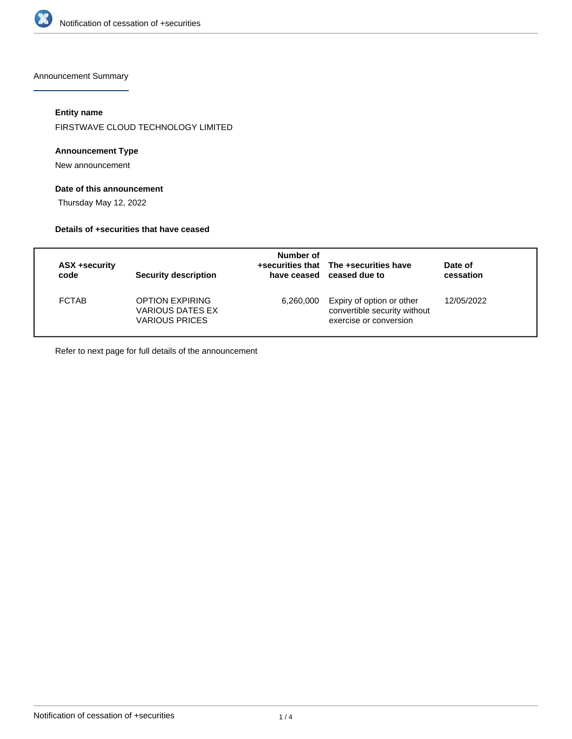

Announcement Summary

# **Entity name**

FIRSTWAVE CLOUD TECHNOLOGY LIMITED

## **Announcement Type**

New announcement

# **Date of this announcement**

Thursday May 12, 2022

### **Details of +securities that have ceased**

| ASX +security<br>code | Security description                                                | Number of | +securities that The +securities have<br>have ceased ceased due to                  | Date of<br>cessation |
|-----------------------|---------------------------------------------------------------------|-----------|-------------------------------------------------------------------------------------|----------------------|
| <b>FCTAB</b>          | <b>OPTION EXPIRING</b><br>VARIOUS DATES EX<br><b>VARIOUS PRICES</b> | 6,260,000 | Expiry of option or other<br>convertible security without<br>exercise or conversion | 12/05/2022           |

Refer to next page for full details of the announcement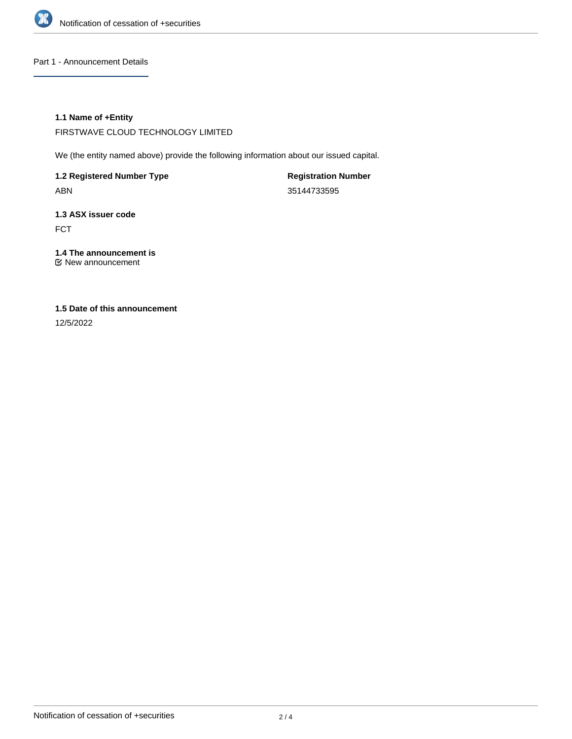

Part 1 - Announcement Details

## **1.1 Name of +Entity**

FIRSTWAVE CLOUD TECHNOLOGY LIMITED

We (the entity named above) provide the following information about our issued capital.

**1.2 Registered Number Type** ABN

**Registration Number** 35144733595

**1.3 ASX issuer code** FCT

**1.4 The announcement is** New announcement

# **1.5 Date of this announcement**

12/5/2022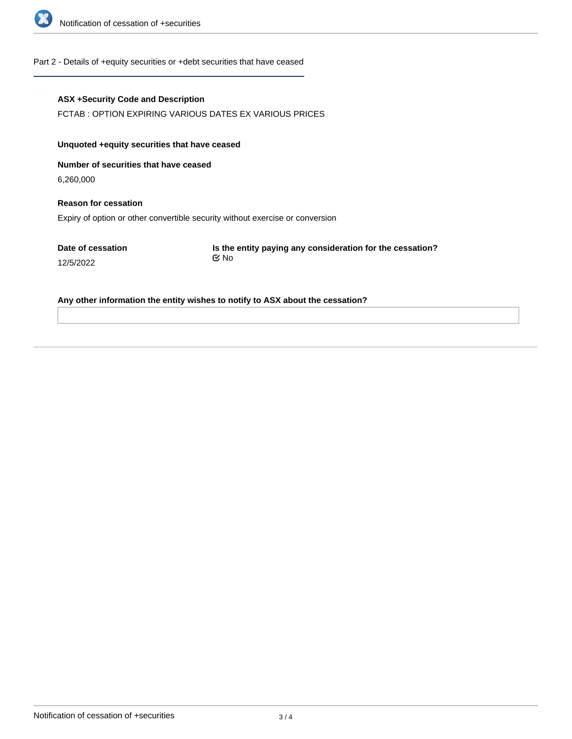

### Part 2 - Details of +equity securities or +debt securities that have ceased

### **ASX +Security Code and Description**

FCTAB : OPTION EXPIRING VARIOUS DATES EX VARIOUS PRICES

## **Unquoted +equity securities that have ceased**

**Number of securities that have ceased**

6,260,000

12/5/2022

**Reason for cessation** Expiry of option or other convertible security without exercise or conversion

**Date of cessation**

**Is the entity paying any consideration for the cessation?** No

**Any other information the entity wishes to notify to ASX about the cessation?**